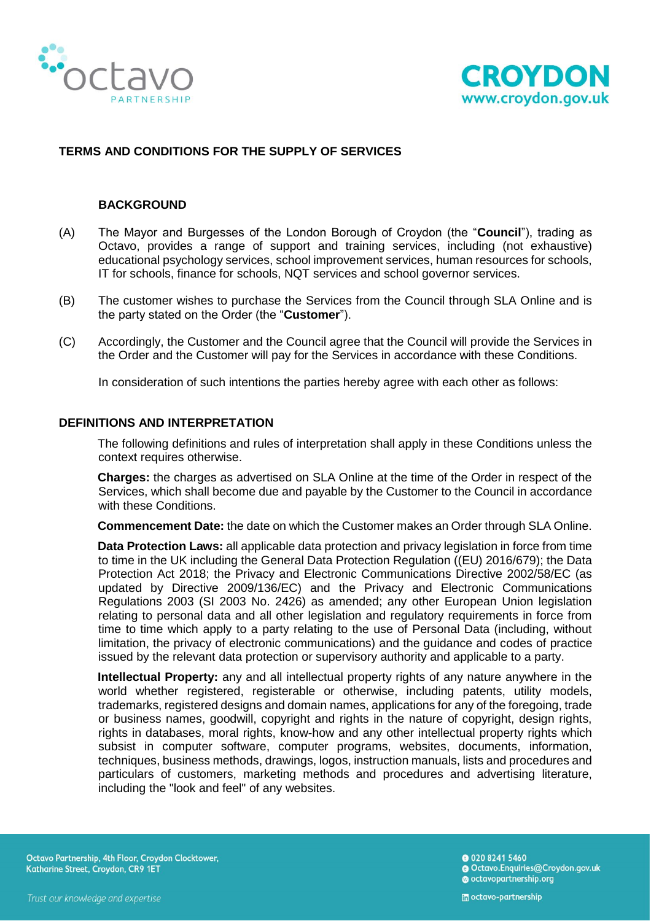



## **TERMS AND CONDITIONS FOR THE SUPPLY OF SERVICES**

### **BACKGROUND**

- (A) The Mayor and Burgesses of the London Borough of Croydon (the "**Council**"), trading as Octavo, provides a range of support and training services, including (not exhaustive) educational psychology services, school improvement services, human resources for schools, IT for schools, finance for schools, NQT services and school governor services.
- (B) The customer wishes to purchase the Services from the Council through SLA Online and is the party stated on the Order (the "**Customer**").
- (C) Accordingly, the Customer and the Council agree that the Council will provide the Services in the Order and the Customer will pay for the Services in accordance with these Conditions.

In consideration of such intentions the parties hereby agree with each other as follows:

#### **DEFINITIONS AND INTERPRETATION**

The following definitions and rules of interpretation shall apply in these Conditions unless the context requires otherwise.

**Charges:** the charges as advertised on SLA Online at the time of the Order in respect of the Services, which shall become due and payable by the Customer to the Council in accordance with these Conditions.

**Commencement Date:** the date on which the Customer makes an Order through SLA Online.

**Data Protection Laws:** all applicable data protection and privacy legislation in force from time to time in the UK including the General Data Protection Regulation ((EU) 2016/679); the Data Protection Act 2018; the Privacy and Electronic Communications Directive 2002/58/EC (as updated by Directive 2009/136/EC) and the Privacy and Electronic Communications Regulations 2003 (SI 2003 No. 2426) as amended; any other European Union legislation relating to personal data and all other legislation and regulatory requirements in force from time to time which apply to a party relating to the use of Personal Data (including, without limitation, the privacy of electronic communications) and the guidance and codes of practice issued by the relevant data protection or supervisory authority and applicable to a party.

**Intellectual Property:** any and all intellectual property rights of any nature anywhere in the world whether registered, registerable or otherwise, including patents, utility models, trademarks, registered designs and domain names, applications for any of the foregoing, trade or business names, goodwill, copyright and rights in the nature of copyright, design rights, rights in databases, moral rights, know-how and any other intellectual property rights which subsist in computer software, computer programs, websites, documents, information, techniques, business methods, drawings, logos, instruction manuals, lists and procedures and particulars of customers, marketing methods and procedures and advertising literature, including the "look and feel" of any websites.

Octavo Partnership, 4th Floor, Croydon Clocktower, Katharine Street, Croydon, CR9 1ET

**@ 020 8241 5460** Octavo.Enquiries@Croydon.gov.uk octavopartnership.org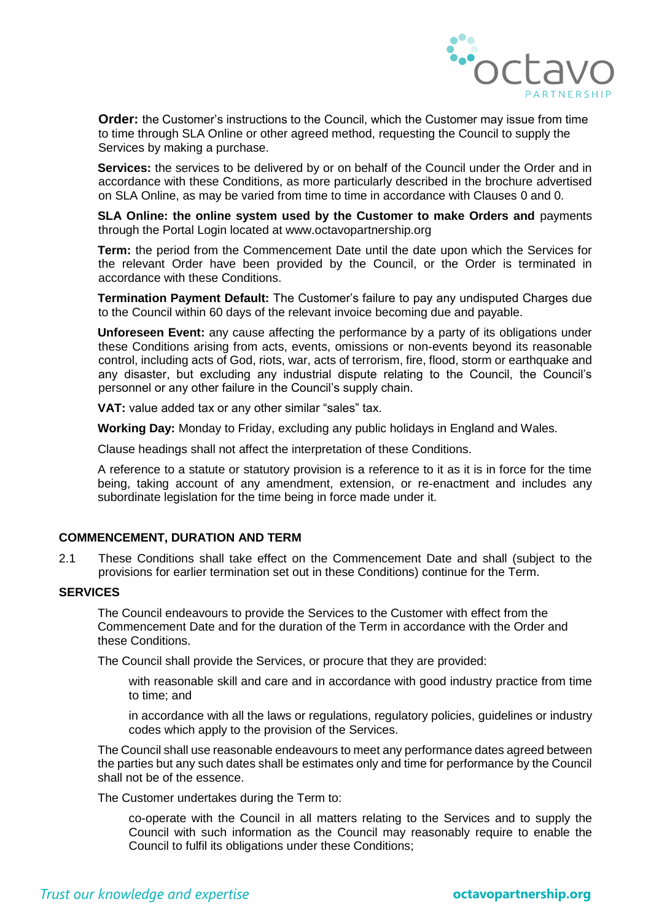

**Order:** the Customer's instructions to the Council, which the Customer may issue from time to time through SLA Online or other agreed method, requesting the Council to supply the Services by making a purchase.

**Services:** the services to be delivered by or on behalf of the Council under the Order and in accordance with these Conditions, as more particularly described in the brochure advertised on SLA Online, as may be varied from time to time in accordance with Clauses [0](#page-3-0) and [0.](#page-7-0)

**SLA Online: the online system used by the Customer to make Orders and** payments through the Portal Login located at www.octavopartnership.org

**Term:** the period from the Commencement Date until the date upon which the Services for the relevant Order have been provided by the Council, or the Order is terminated in accordance with these Conditions.

**Termination Payment Default:** The Customer's failure to pay any undisputed Charges due to the Council within 60 days of the relevant invoice becoming due and payable.

**Unforeseen Event:** any cause affecting the performance by a party of its obligations under these Conditions arising from acts, events, omissions or non-events beyond its reasonable control, including acts of God, riots, war, acts of terrorism, fire, flood, storm or earthquake and any disaster, but excluding any industrial dispute relating to the Council, the Council's personnel or any other failure in the Council's supply chain.

**VAT:** value added tax or any other similar "sales" tax.

**Working Day:** Monday to Friday, excluding any public holidays in England and Wales.

Clause headings shall not affect the interpretation of these Conditions.

A reference to a statute or statutory provision is a reference to it as it is in force for the time being, taking account of any amendment, extension, or re-enactment and includes any subordinate legislation for the time being in force made under it.

### **COMMENCEMENT, DURATION AND TERM**

2.1 These Conditions shall take effect on the Commencement Date and shall (subject to the provisions for earlier termination set out in these Conditions) continue for the Term.

### **SERVICES**

The Council endeavours to provide the Services to the Customer with effect from the Commencement Date and for the duration of the Term in accordance with the Order and these Conditions.

The Council shall provide the Services, or procure that they are provided:

with reasonable skill and care and in accordance with good industry practice from time to time; and

in accordance with all the laws or regulations, regulatory policies, guidelines or industry codes which apply to the provision of the Services.

The Council shall use reasonable endeavours to meet any performance dates agreed between the parties but any such dates shall be estimates only and time for performance by the Council shall not be of the essence.

The Customer undertakes during the Term to:

co-operate with the Council in all matters relating to the Services and to supply the Council with such information as the Council may reasonably require to enable the Council to fulfil its obligations under these Conditions;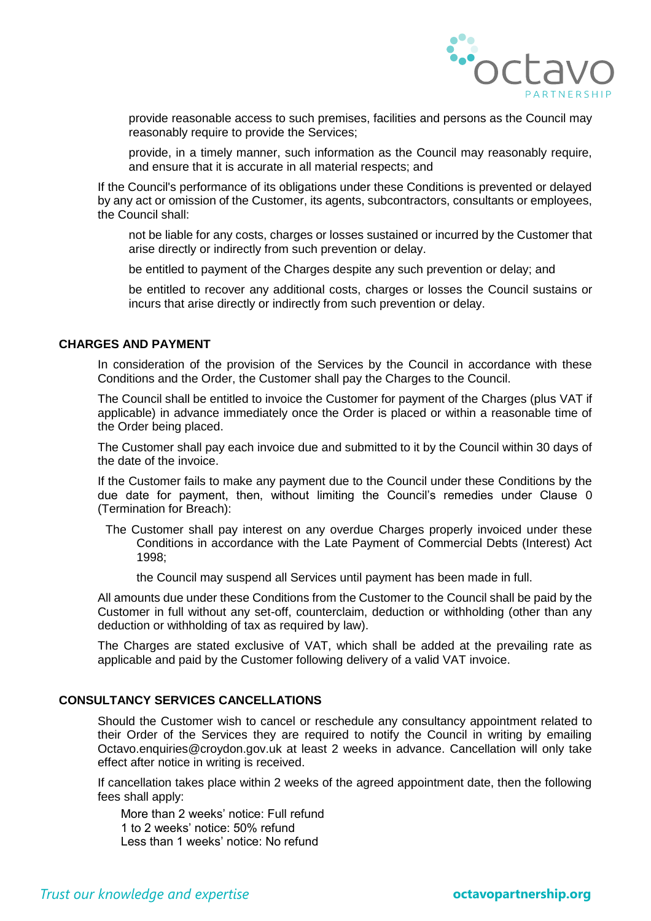

provide reasonable access to such premises, facilities and persons as the Council may reasonably require to provide the Services;

provide, in a timely manner, such information as the Council may reasonably require, and ensure that it is accurate in all material respects; and

If the Council's performance of its obligations under these Conditions is prevented or delayed by any act or omission of the Customer, its agents, subcontractors, consultants or employees, the Council shall:

not be liable for any costs, charges or losses sustained or incurred by the Customer that arise directly or indirectly from such prevention or delay.

be entitled to payment of the Charges despite any such prevention or delay; and

be entitled to recover any additional costs, charges or losses the Council sustains or incurs that arise directly or indirectly from such prevention or delay.

## **CHARGES AND PAYMENT**

In consideration of the provision of the Services by the Council in accordance with these Conditions and the Order, the Customer shall pay the Charges to the Council.

The Council shall be entitled to invoice the Customer for payment of the Charges (plus VAT if applicable) in advance immediately once the Order is placed or within a reasonable time of the Order being placed.

The Customer shall pay each invoice due and submitted to it by the Council within 30 days of the date of the invoice.

If the Customer fails to make any payment due to the Council under these Conditions by the due date for payment, then, without limiting the Council's remedies under Clause [0](#page-6-0) (Termination for Breach):

The Customer shall pay interest on any overdue Charges properly invoiced under these Conditions in accordance with the Late Payment of Commercial Debts (Interest) Act 1998;

the Council may suspend all Services until payment has been made in full.

All amounts due under these Conditions from the Customer to the Council shall be paid by the Customer in full without any set-off, counterclaim, deduction or withholding (other than any deduction or withholding of tax as required by law).

The Charges are stated exclusive of VAT, which shall be added at the prevailing rate as applicable and paid by the Customer following delivery of a valid VAT invoice.

## **CONSULTANCY SERVICES CANCELLATIONS**

Should the Customer wish to cancel or reschedule any consultancy appointment related to their Order of the Services they are required to notify the Council in writing by emailing Octavo.enquiries@croydon.gov.uk at least 2 weeks in advance. Cancellation will only take effect after notice in writing is received.

If cancellation takes place within 2 weeks of the agreed appointment date, then the following fees shall apply:

More than 2 weeks' notice: Full refund 1 to 2 weeks' notice: 50% refund Less than 1 weeks' notice: No refund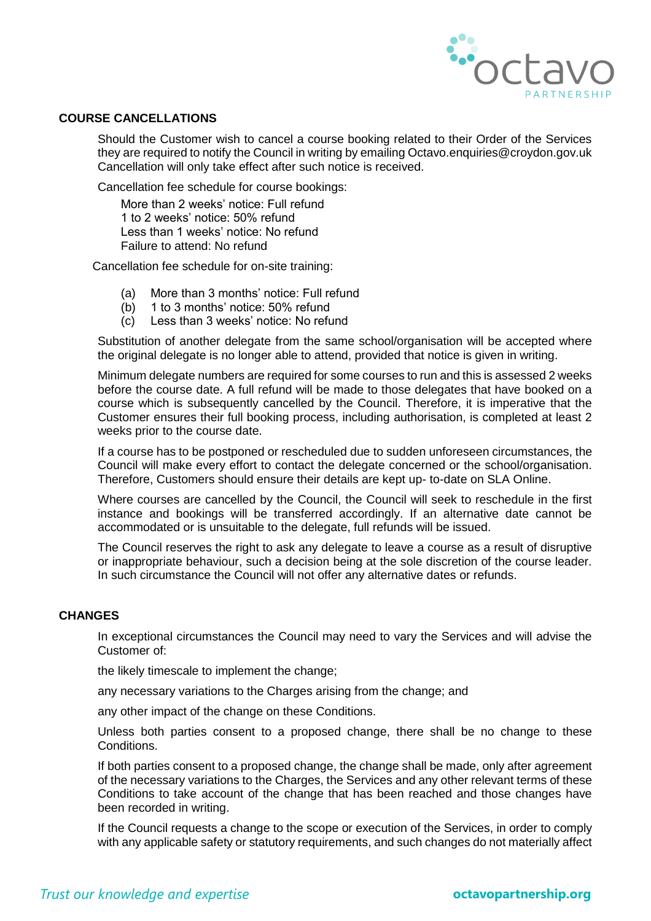

## **COURSE CANCELLATIONS**

Should the Customer wish to cancel a course booking related to their Order of the Services they are required to notify the Council in writing by emailing Octavo.enquiries@croydon.gov.uk Cancellation will only take effect after such notice is received.

Cancellation fee schedule for course bookings:

More than 2 weeks' notice: Full refund 1 to 2 weeks' notice: 50% refund Less than 1 weeks' notice: No refund Failure to attend: No refund

Cancellation fee schedule for on-site training:

- (a) More than 3 months' notice: Full refund
- (b) 1 to 3 months' notice: 50% refund
- (c) Less than 3 weeks' notice: No refund

Substitution of another delegate from the same school/organisation will be accepted where the original delegate is no longer able to attend, provided that notice is given in writing.

Minimum delegate numbers are required for some courses to run and this is assessed 2 weeks before the course date. A full refund will be made to those delegates that have booked on a course which is subsequently cancelled by the Council. Therefore, it is imperative that the Customer ensures their full booking process, including authorisation, is completed at least 2 weeks prior to the course date.

If a course has to be postponed or rescheduled due to sudden unforeseen circumstances, the Council will make every effort to contact the delegate concerned or the school/organisation. Therefore, Customers should ensure their details are kept up- to-date on SLA Online.

Where courses are cancelled by the Council, the Council will seek to reschedule in the first instance and bookings will be transferred accordingly. If an alternative date cannot be accommodated or is unsuitable to the delegate, full refunds will be issued.

The Council reserves the right to ask any delegate to leave a course as a result of disruptive or inappropriate behaviour, such a decision being at the sole discretion of the course leader. In such circumstance the Council will not offer any alternative dates or refunds.

## <span id="page-3-0"></span>**CHANGES**

In exceptional circumstances the Council may need to vary the Services and will advise the Customer of:

the likely timescale to implement the change;

any necessary variations to the Charges arising from the change; and

any other impact of the change on these Conditions.

Unless both parties consent to a proposed change, there shall be no change to these Conditions.

If both parties consent to a proposed change, the change shall be made, only after agreement of the necessary variations to the Charges, the Services and any other relevant terms of these Conditions to take account of the change that has been reached and those changes have been recorded in writing.

If the Council requests a change to the scope or execution of the Services, in order to comply with any applicable safety or statutory requirements, and such changes do not materially affect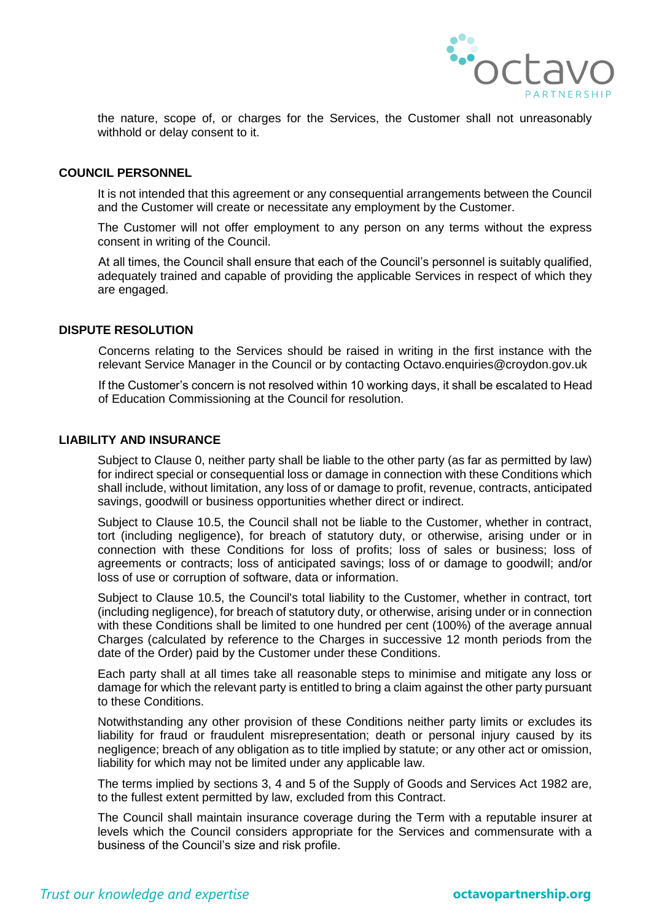

the nature, scope of, or charges for the Services, the Customer shall not unreasonably withhold or delay consent to it.

### **COUNCIL PERSONNEL**

It is not intended that this agreement or any consequential arrangements between the Council and the Customer will create or necessitate any employment by the Customer.

The Customer will not offer employment to any person on any terms without the express consent in writing of the Council.

At all times, the Council shall ensure that each of the Council's personnel is suitably qualified, adequately trained and capable of providing the applicable Services in respect of which they are engaged.

## **DISPUTE RESOLUTION**

Concerns relating to the Services should be raised in writing in the first instance with the relevant Service Manager in the Council or by contacting Octavo.enquiries@croydon.gov.uk

If the Customer's concern is not resolved within 10 working days, it shall be escalated to Head of Education Commissioning at the Council for resolution.

#### <span id="page-4-1"></span>**LIABILITY AND INSURANCE**

Subject to Clause [0,](#page-4-0) neither party shall be liable to the other party (as far as permitted by law) for indirect special or consequential loss or damage in connection with these Conditions which shall include, without limitation, any loss of or damage to profit, revenue, contracts, anticipated savings, goodwill or business opportunities whether direct or indirect.

Subject to [Clause 1](http://uk.practicallaw.com/6-203-1252?q=supply+of+services#a986666)0.5, the Council shall not be liable to the Customer, whether in contract, tort (including negligence), for breach of statutory duty, or otherwise, arising under or in connection with these Conditions for loss of profits; loss of sales or business; loss of agreements or contracts; loss of anticipated savings; loss of or damage to goodwill; and/or loss of use or corruption of software, data or information.

Subject to Clause 10.5, the Council's total liability to the Customer, whether in contract, tort (including negligence), for breach of statutory duty, or otherwise, arising under or in connection with these Conditions shall be limited to one hundred per cent (100%) of the average annual Charges (calculated by reference to the Charges in successive 12 month periods from the date of the Order) paid by the Customer under these Conditions.

Each party shall at all times take all reasonable steps to minimise and mitigate any loss or damage for which the relevant party is entitled to bring a claim against the other party pursuant to these Conditions.

<span id="page-4-0"></span>Notwithstanding any other provision of these Conditions neither party limits or excludes its liability for fraud or fraudulent misrepresentation; death or personal injury caused by its negligence; breach of any obligation as to title implied by statute; or any other act or omission, liability for which may not be limited under any applicable law.

The terms implied by sections 3, 4 and 5 of the Supply of Goods and Services Act 1982 are, to the fullest extent permitted by law, excluded from this Contract.

The Council shall maintain insurance coverage during the Term with a reputable insurer at levels which the Council considers appropriate for the Services and commensurate with a business of the Council's size and risk profile.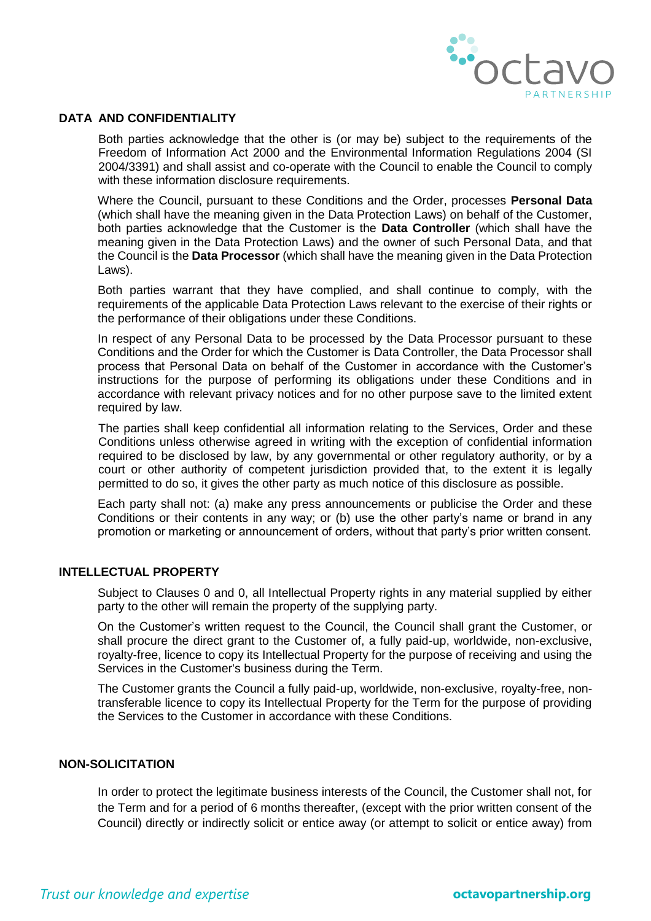

# <span id="page-5-2"></span>**DATA AND CONFIDENTIALITY**

Both parties acknowledge that the other is (or may be) subject to the requirements of the Freedom of Information Act 2000 and the Environmental Information Regulations 2004 (SI 2004/3391) and shall assist and co-operate with the Council to enable the Council to comply with these information disclosure requirements.

Where the Council, pursuant to these Conditions and the Order, processes **Personal Data** (which shall have the meaning given in the Data Protection Laws) on behalf of the Customer, both parties acknowledge that the Customer is the **Data Controller** (which shall have the meaning given in the Data Protection Laws) and the owner of such Personal Data, and that the Council is the **Data Processor** (which shall have the meaning given in the Data Protection Laws).

Both parties warrant that they have complied, and shall continue to comply, with the requirements of the applicable Data Protection Laws relevant to the exercise of their rights or the performance of their obligations under these Conditions.

In respect of any Personal Data to be processed by the Data Processor pursuant to these Conditions and the Order for which the Customer is Data Controller, the Data Processor shall process that Personal Data on behalf of the Customer in accordance with the Customer's instructions for the purpose of performing its obligations under these Conditions and in accordance with relevant privacy notices and for no other purpose save to the limited extent required by law.

The parties shall keep confidential all information relating to the Services, Order and these Conditions unless otherwise agreed in writing with the exception of confidential information required to be disclosed by law, by any governmental or other regulatory authority, or by a court or other authority of competent jurisdiction provided that, to the extent it is legally permitted to do so, it gives the other party as much notice of this disclosure as possible.

Each party shall not: (a) make any press announcements or publicise the Order and these Conditions or their contents in any way; or (b) use the other party's name or brand in any promotion or marketing or announcement of orders, without that party's prior written consent.

## **INTELLECTUAL PROPERTY**

Subject to Clauses [0](#page-5-0) and [0,](#page-5-1) all Intellectual Property rights in any material supplied by either party to the other will remain the property of the supplying party.

<span id="page-5-0"></span>On the Customer's written request to the Council, the Council shall grant the Customer, or shall procure the direct grant to the Customer of, a fully paid-up, worldwide, non-exclusive, royalty-free, licence to copy its Intellectual Property for the purpose of receiving and using the Services in the Customer's business during the Term.

<span id="page-5-1"></span>The Customer grants the Council a fully paid-up, worldwide, non-exclusive, royalty-free, nontransferable licence to copy its Intellectual Property for the Term for the purpose of providing the Services to the Customer in accordance with these Conditions.

## **NON-SOLICITATION**

In order to protect the legitimate business interests of the Council, the Customer shall not, for the Term and for a period of 6 months thereafter, (except with the prior written consent of the Council) directly or indirectly solicit or entice away (or attempt to solicit or entice away) from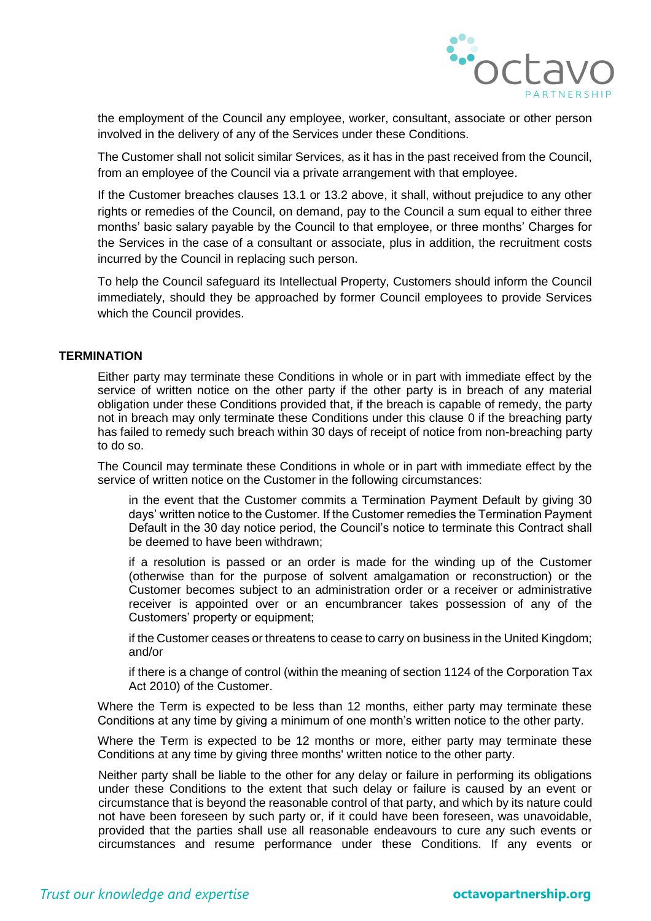

the employment of the Council any employee, worker, consultant, associate or other person involved in the delivery of any of the Services under these Conditions.

The Customer shall not solicit similar Services, as it has in the past received from the Council, from an employee of the Council via a private arrangement with that employee.

If the Customer breaches clauses 13.1 or 13.2 above, it shall, without prejudice to any other rights or remedies of the Council, on demand, pay to the Council a sum equal to either three months' basic salary payable by the Council to that employee, or three months' Charges for the Services in the case of a consultant or associate, plus in addition, the recruitment costs incurred by the Council in replacing such person.

To help the Council safeguard its Intellectual Property, Customers should inform the Council immediately, should they be approached by former Council employees to provide Services which the Council provides.

# <span id="page-6-1"></span><span id="page-6-0"></span>**TERMINATION**

Either party may terminate these Conditions in whole or in part with immediate effect by the service of written notice on the other party if the other party is in breach of any material obligation under these Conditions provided that, if the breach is capable of remedy, the party not in breach may only terminate these Conditions under this clause [0](#page-6-1) if the breaching party has failed to remedy such breach within 30 days of receipt of notice from non-breaching party to do so.

The Council may terminate these Conditions in whole or in part with immediate effect by the service of written notice on the Customer in the following circumstances:

in the event that the Customer commits a Termination Payment Default by giving 30 days' written notice to the Customer. If the Customer remedies the Termination Payment Default in the 30 day notice period, the Council's notice to terminate this Contract shall be deemed to have been withdrawn;

if a resolution is passed or an order is made for the winding up of the Customer (otherwise than for the purpose of solvent amalgamation or reconstruction) or the Customer becomes subject to an administration order or a receiver or administrative receiver is appointed over or an encumbrancer takes possession of any of the Customers' property or equipment;

if the Customer ceases or threatens to cease to carry on business in the United Kingdom; and/or

if there is a change of control (within the meaning of section 1124 of the Corporation Tax Act 2010) of the Customer.

Where the Term is expected to be less than 12 months, either party may terminate these Conditions at any time by giving a minimum of one month's written notice to the other party.

Where the Term is expected to be 12 months or more, either party may terminate these Conditions at any time by giving three months' written notice to the other party.

Neither party shall be liable to the other for any delay or failure in performing its obligations under these Conditions to the extent that such delay or failure is caused by an event or circumstance that is beyond the reasonable control of that party, and which by its nature could not have been foreseen by such party or, if it could have been foreseen, was unavoidable, provided that the parties shall use all reasonable endeavours to cure any such events or circumstances and resume performance under these Conditions. If any events or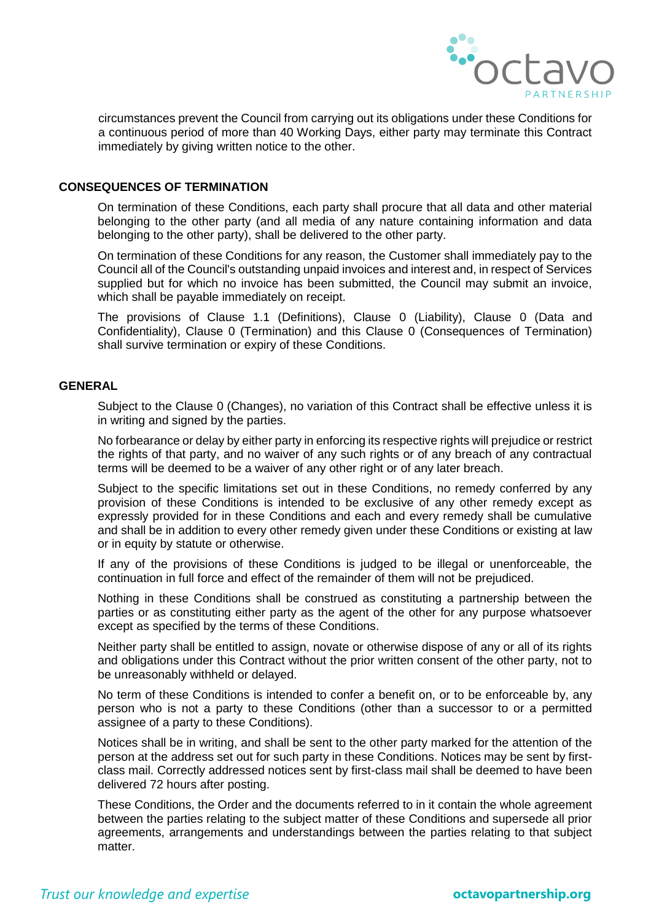

circumstances prevent the Council from carrying out its obligations under these Conditions for a continuous period of more than 40 Working Days, either party may terminate this Contract immediately by giving written notice to the other.

## <span id="page-7-1"></span>**CONSEQUENCES OF TERMINATION**

On termination of these Conditions, each party shall procure that all data and other material belonging to the other party (and all media of any nature containing information and data belonging to the other party), shall be delivered to the other party.

On termination of these Conditions for any reason, the Customer shall immediately pay to the Council all of the Council's outstanding unpaid invoices and interest and, in respect of Services supplied but for which no invoice has been submitted, the Council may submit an invoice, which shall be payable immediately on receipt.

The provisions of Clause 1.1 (Definitions), Clause [0](#page-4-1) (Liability), Clause [0](#page-5-2) (Data and Confidentiality), Clause [0](#page-6-0) (Termination) and this Clause [0](#page-7-1) (Consequences of Termination) shall survive termination or expiry of these Conditions.

## <span id="page-7-0"></span>**GENERAL**

Subject to the Clause [0](#page-3-0) (Changes), no variation of this Contract shall be effective unless it is in writing and signed by the parties.

No forbearance or delay by either party in enforcing its respective rights will prejudice or restrict the rights of that party, and no waiver of any such rights or of any breach of any contractual terms will be deemed to be a waiver of any other right or of any later breach.

Subject to the specific limitations set out in these Conditions, no remedy conferred by any provision of these Conditions is intended to be exclusive of any other remedy except as expressly provided for in these Conditions and each and every remedy shall be cumulative and shall be in addition to every other remedy given under these Conditions or existing at law or in equity by statute or otherwise.

If any of the provisions of these Conditions is judged to be illegal or unenforceable, the continuation in full force and effect of the remainder of them will not be prejudiced.

Nothing in these Conditions shall be construed as constituting a partnership between the parties or as constituting either party as the agent of the other for any purpose whatsoever except as specified by the terms of these Conditions.

Neither party shall be entitled to assign, novate or otherwise dispose of any or all of its rights and obligations under this Contract without the prior written consent of the other party, not to be unreasonably withheld or delayed.

No term of these Conditions is intended to confer a benefit on, or to be enforceable by, any person who is not a party to these Conditions (other than a successor to or a permitted assignee of a party to these Conditions).

Notices shall be in writing, and shall be sent to the other party marked for the attention of the person at the address set out for such party in these Conditions. Notices may be sent by firstclass mail. Correctly addressed notices sent by first-class mail shall be deemed to have been delivered 72 hours after posting.

These Conditions, the Order and the documents referred to in it contain the whole agreement between the parties relating to the subject matter of these Conditions and supersede all prior agreements, arrangements and understandings between the parties relating to that subject matter.